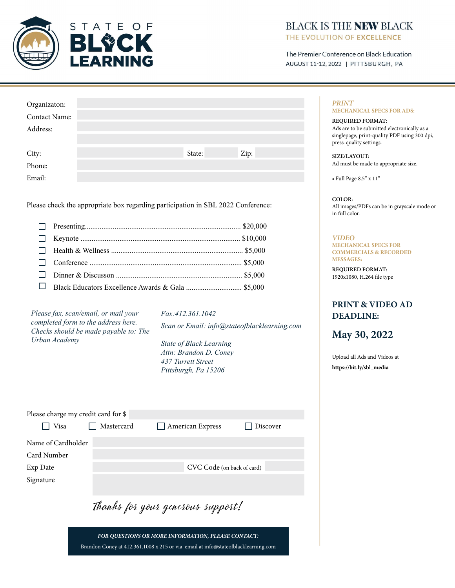

### **BLACK IS THE NEW BLACK** THE EVOLUTION OF EXCELLENCE

The Premier Conference on Black Education AUGUST 11-12, 2022 | PITTSBURGH, PA

| Organizaton:    |  |        |      |
|-----------------|--|--------|------|
| Contact Name:   |  |        |      |
| Address:        |  |        |      |
|                 |  |        |      |
|                 |  | State: | Zip: |
| City:<br>Phone: |  |        |      |
| Email:          |  |        |      |

Please check the appropriate box regarding participation in SBL 2022 Conference:

*Please fax, scan/email, or mail your completed form to the address here. Checks should be made payable to: The Urban Academy* 

*Fax:412.361.1042 Scan or Email: info@stateofblacklearning.com*

*State of Black Learning Attn: Brandon D. Coney 437 Turrett Street Pittsburgh, Pa 15206*

| Please charge my credit card for \$<br>l Visa | Mastercard                        |  | $\Box$ American Express | Discover |  |  |
|-----------------------------------------------|-----------------------------------|--|-------------------------|----------|--|--|
|                                               |                                   |  |                         |          |  |  |
| Name of Cardholder                            |                                   |  |                         |          |  |  |
| Card Number                                   |                                   |  |                         |          |  |  |
| Exp Date                                      | CVC Code (on back of card)        |  |                         |          |  |  |
| Signature                                     |                                   |  |                         |          |  |  |
|                                               |                                   |  |                         |          |  |  |
|                                               | Thanks for your generous support! |  |                         |          |  |  |

*FOR QUESTIONS OR MORE INFORMATION, PLEASE CONTACT:* Brandon Coney at 412.361.1008 x 215 or via email at info@stateofblacklearning.com

*PRINT* **MECHANICAL SPECS FOR ADS:**

**REQUIRED FORMAT:** Ads are to be submitted electronically as a singlepage, print-quality PDF using 300 dpi, press-quality settings.

**SIZE/LAYOUT:** Ad must be made to appropriate size.

• Full Page 8.5" x 11"

**COLOR:** All images/PDFs can be in grayscale mode or in full color.

*VIDEO* **MECHANICAL SPECS FOR COMMERCIALS & RECORDED MESSAGES:**

**REQUIRED FORMAT:** 1920x1080, H.264 file type

## **PRINT & VIDEO AD DEADLINE:**

**May 30, 2022**

[Upload all Ads and Videos at](https://bit.ly/hearthteesandtraps2022) **https://bit.ly/sbl\_media**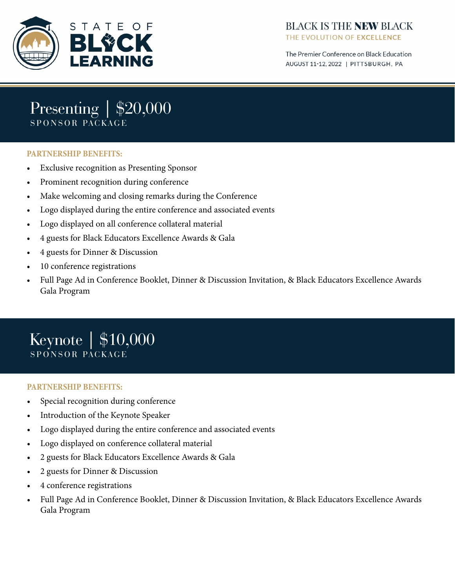

The Premier Conference on Black Education AUGUST 11-12, 2022 | PITTSBURGH, PA

## Presenting | \$20,000 SPONSOR PACKAGE

#### **PARTNERSHIP BENEFITS:**

- Exclusive recognition as Presenting Sponsor
- Prominent recognition during conference
- Make welcoming and closing remarks during the Conference
- Logo displayed during the entire conference and associated events
- Logo displayed on all conference collateral material
- 4 guests for Black Educators Excellence Awards & Gala
- 4 guests for Dinner & Discussion
- 10 conference registrations
- Full Page Ad in Conference Booklet, Dinner & Discussion Invitation, & Black Educators Excellence Awards Gala Program

## Keynote | \$10,000 SPONSOR PACKAGE

#### **PARTNERSHIP BENEFITS:**

- Special recognition during conference
- Introduction of the Keynote Speaker
- Logo displayed during the entire conference and associated events
- Logo displayed on conference collateral material
- 2 guests for Black Educators Excellence Awards & Gala
- 2 guests for Dinner & Discussion
- 4 conference registrations
- Full Page Ad in Conference Booklet, Dinner & Discussion Invitation, & Black Educators Excellence Awards Gala Program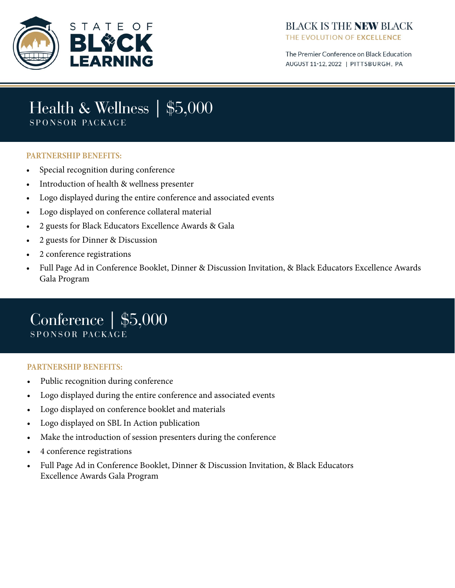

## **BLACK IS THE NEW BLACK** THE EVOLUTION OF EXCELLENCE

The Premier Conference on Black Education AUGUST 11-12, 2022 | PITTSBURGH, PA

## Health & Wellness | \$5,000 SPONSOR PACKAGE

#### **PARTNERSHIP BENEFITS:**

- Special recognition during conference
- Introduction of health & wellness presenter
- Logo displayed during the entire conference and associated events
- Logo displayed on conference collateral material
- 2 guests for Black Educators Excellence Awards & Gala
- 2 guests for Dinner & Discussion
- 2 conference registrations
- Full Page Ad in Conference Booklet, Dinner & Discussion Invitation, & Black Educators Excellence Awards Gala Program

## Conference | \$5,000 SPONSOR PACKAGE

#### **PARTNERSHIP BENEFITS:**

- Public recognition during conference
- Logo displayed during the entire conference and associated events
- Logo displayed on conference booklet and materials
- Logo displayed on SBL In Action publication
- Make the introduction of session presenters during the conference
- 4 conference registrations
- Full Page Ad in Conference Booklet, Dinner & Discussion Invitation, & Black Educators Excellence Awards Gala Program